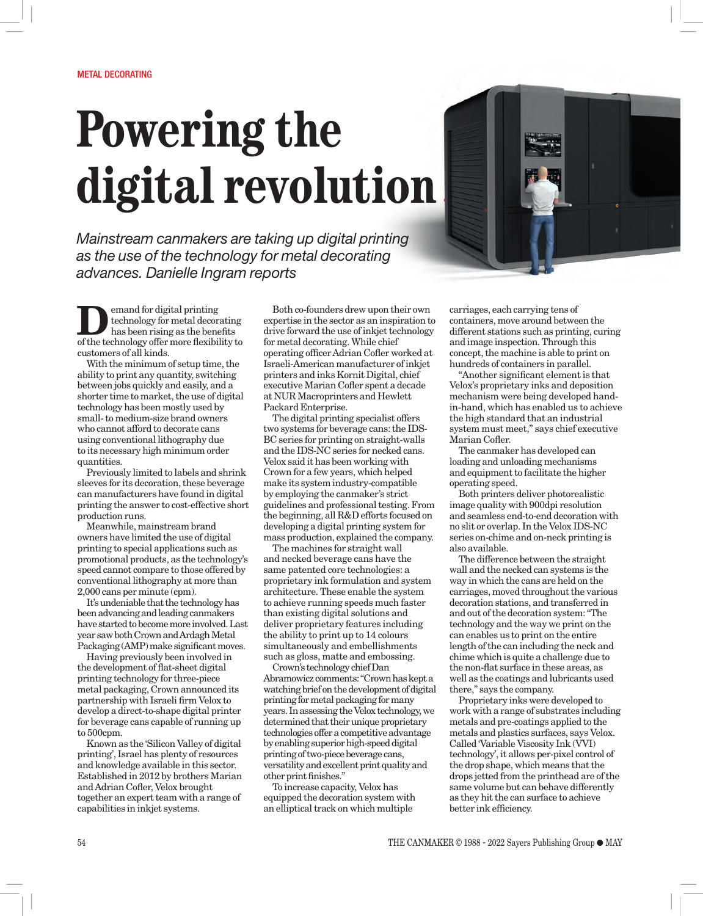## **Powering the digital revolution**

*Mainstream canmakers are taking up digital printing as the use of the technology for metal decorating advances. Danielle Ingram reports*



**D**emand for digital printing<br>technology for metal decorations has been rising as the bene<br>of the technology of cumpus flavisi technology for metal decorating has been rising as the benefits of the technology offer more flexibility to customers of all kinds.

With the minimum of setup time, the ability to print any quantity, switching between jobs quickly and easily, and a shorter time to market, the use of digital technology has been mostly used by small- to medium-size brand owners who cannot afford to decorate cans using conventional lithography due to its necessary high minimum order quantities.

Previously limited to labels and shrink sleeves for its decoration, these beverage can manufacturers have found in digital printing the answer to cost-effective short production runs.

Meanwhile, mainstream brand owners have limited the use of digital printing to special applications such as promotional products, as the technology's speed cannot compare to those offered by conventional lithography at more than 2,000 cans per minute (cpm).

It's undeniable that the technology has been advancing and leading canmakers have started to become more involved. Last year saw both Crown and Ardagh Metal Packaging (AMP) make significant moves.

Having previously been involved in the development of flat-sheet digital printing technology for three-piece metal packaging, Crown announced its partnership with Israeli firm Velox to develop a direct-to-shape digital printer for beverage cans capable of running up to 500cpm.

Known as the 'Silicon Valley of digital printing', Israel has plenty of resources and knowledge available in this sector. Established in 2012 by brothers Marian and Adrian Cofler, Velox brought together an expert team with a range of capabilities in inkjet systems.

Both co-founders drew upon their own expertise in the sector as an inspiration to drive forward the use of inkiet technology for metal decorating. While chief operating officer Adrian Cofler worked at Israeli-American manufacturer of inkjet printers and inks Kornit Digital, chief executive Marian Cofler spent a decade at NUR Macroprinters and Hewlett Packard Enterprise.

The digital printing specialist offers two systems for beverage cans: the IDS-BC series for printing on straight-walls and the IDS-NC series for necked cans. Velox said it has been working with Crown for a few years, which helped make its system industry-compatible by employing the canmaker's strict guidelines and professional testing. From the beginning, all R&D efforts focused on developing a digital printing system for mass production, explained the company.

The machines for straight wall and necked beverage cans have the same patented core technologies: a proprietary ink formulation and system architecture. These enable the system to achieve running speeds much faster than existing digital solutions and deliver proprietary features including the ability to print up to 14 colours simultaneously and embellishments such as gloss, matte and embossing.

Crown's technology chief Dan Abramowicz comments: "Crown has kept a watching brief on the development of digital printing for metal packaging for many years. In assessing the Velox technology, we determined that their unique proprietary technologies offer a competitive advantage by enabling superior high-speed digital printing of two-piece beverage cans, versatility and excellent print quality and other print finishes."

To increase capacity, Velox has equipped the decoration system with an elliptical track on which multiple

carriages, each carrying tens of containers, move around between the different stations such as printing, curing and image inspection. Through this concept, the machine is able to print on hundreds of containers in parallel.

"Another significant element is that Velox's proprietary inks and deposition mechanism were being developed handin-hand, which has enabled us to achieve the high standard that an industrial system must meet," says chief executive Marian Cofler.

The canmaker has developed can loading and unloading mechanisms and equipment to facilitate the higher operating speed.

Both printers deliver photorealistic image quality with 900dpi resolution and seamless end-to-end decoration with no slit or overlap. In the Velox IDS-NC series on-chime and on-neck printing is also available.

The difference between the straight wall and the necked can systems is the way in which the cans are held on the carriages, moved throughout the various decoration stations, and transferred in and out of the decoration system: "The technology and the way we print on the can enables us to print on the entire length of the can including the neck and chime which is quite a challenge due to the non-flat surface in these areas, as well as the coatings and lubricants used there," says the company.

Proprietary inks were developed to work with a range of substrates including metals and pre-coatings applied to the metals and plastics surfaces, says Velox. Called 'Variable Viscosity Ink (VVI) technology', it allows per-pixel control of the drop shape, which means that the drops jetted from the printhead are of the same volume but can behave differently as they hit the can surface to achieve better ink efficiency.